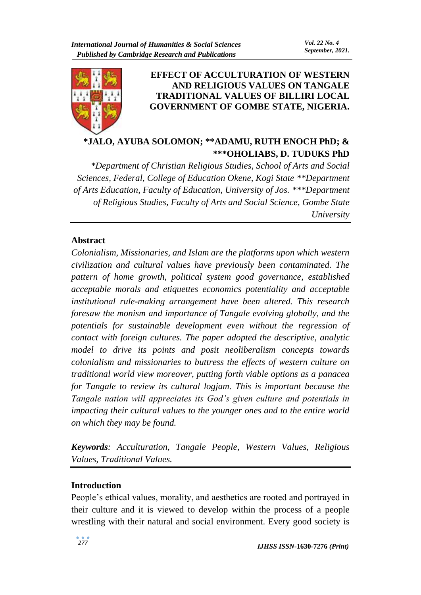

# **EFFECT OF ACCULTURATION OF WESTERN AND RELIGIOUS VALUES ON TANGALE TRADITIONAL VALUES OF BILLIRI LOCAL GOVERNMENT OF GOMBE STATE, NIGERIA.**

**\*JALO, AYUBA SOLOMON; \*\*ADAMU, RUTH ENOCH PhD; & \*\*\*OHOLIABS, D. TUDUKS PhD**

*\*Department of Christian Religious Studies, School of Arts and Social Sciences, Federal, College of Education Okene, Kogi State \*\*Department of Arts Education, Faculty of Education, University of Jos. \*\*\*Department of Religious Studies, Faculty of Arts and Social Science, Gombe State University*

# **Abstract**

*Colonialism, Missionaries, and Islam are the platforms upon which western civilization and cultural values have previously been contaminated. The pattern of home growth, political system good governance, established acceptable morals and etiquettes economics potentiality and acceptable institutional rule-making arrangement have been altered. This research foresaw the monism and importance of Tangale evolving globally, and the potentials for sustainable development even without the regression of contact with foreign cultures. The paper adopted the descriptive, analytic model to drive its points and posit neoliberalism concepts towards colonialism and missionaries to buttress the effects of western culture on traditional world view moreover, putting forth viable options as a panacea for Tangale to review its cultural logjam. This is important because the Tangale nation will appreciates its God's given culture and potentials in impacting their cultural values to the younger ones and to the entire world on which they may be found.* 

*Keywords: Acculturation, Tangale People, Western Values, Religious Values, Traditional Values.*

# **Introduction**

People's ethical values, morality, and aesthetics are rooted and portrayed in their culture and it is viewed to develop within the process of a people wrestling with their natural and social environment. Every good society is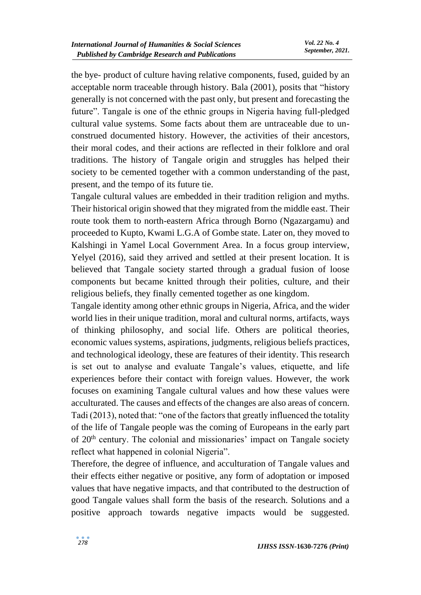the bye- product of culture having relative components, fused, guided by an acceptable norm traceable through history. Bala (2001), posits that "history generally is not concerned with the past only, but present and forecasting the future". Tangale is one of the ethnic groups in Nigeria having full-pledged cultural value systems. Some facts about them are untraceable due to unconstrued documented history. However, the activities of their ancestors, their moral codes, and their actions are reflected in their folklore and oral traditions. The history of Tangale origin and struggles has helped their society to be cemented together with a common understanding of the past, present, and the tempo of its future tie.

Tangale cultural values are embedded in their tradition religion and myths. Their historical origin showed that they migrated from the middle east. Their route took them to north-eastern Africa through Borno (Ngazargamu) and proceeded to Kupto, Kwami L.G.A of Gombe state. Later on, they moved to Kalshingi in Yamel Local Government Area. In a focus group interview, Yelyel (2016), said they arrived and settled at their present location. It is believed that Tangale society started through a gradual fusion of loose components but became knitted through their polities, culture, and their religious beliefs, they finally cemented together as one kingdom.

Tangale identity among other ethnic groups in Nigeria, Africa, and the wider world lies in their unique tradition, moral and cultural norms, artifacts, ways of thinking philosophy, and social life. Others are political theories, economic values systems, aspirations, judgments, religious beliefs practices, and technological ideology, these are features of their identity. This research is set out to analyse and evaluate Tangale's values, etiquette, and life experiences before their contact with foreign values. However, the work focuses on examining Tangale cultural values and how these values were acculturated. The causes and effects of the changes are also areas of concern. Tadi (2013), noted that: "one of the factors that greatly influenced the totality of the life of Tangale people was the coming of Europeans in the early part of 20<sup>th</sup> century. The colonial and missionaries' impact on Tangale society reflect what happened in colonial Nigeria".

Therefore, the degree of influence, and acculturation of Tangale values and their effects either negative or positive, any form of adoptation or imposed values that have negative impacts, and that contributed to the destruction of good Tangale values shall form the basis of the research. Solutions and a positive approach towards negative impacts would be suggested.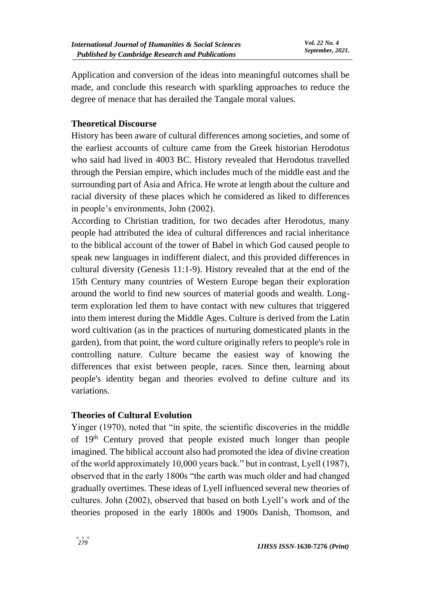Application and conversion of the ideas into meaningful outcomes shall be made, and conclude this research with sparkling approaches to reduce the degree of menace that has derailed the Tangale moral values.

# **Theoretical Discourse**

History has been aware of cultural differences among societies, and some of the earliest accounts of culture came from the Greek historian Herodotus who said had lived in 4003 BC. History revealed that Herodotus travelled through the Persian empire, which includes much of the middle east and the surrounding part of Asia and Africa. He wrote at length about the culture and racial diversity of these places which he considered as liked to differences in people's environments, John (2002).

According to Christian tradition, for two decades after Herodotus, many people had attributed the idea of cultural differences and racial inheritance to the biblical account of the tower of Babel in which God caused people to speak new languages in indifferent dialect, and this provided differences in cultural diversity (Genesis 11:1-9). History revealed that at the end of the 15th Century many countries of Western Europe began their exploration around the world to find new sources of material goods and wealth. Longterm exploration led them to have contact with new cultures that triggered into them interest during the Middle Ages. Culture is derived from the Latin word cultivation (as in the practices of nurturing domesticated plants in the garden), from that point, the word culture originally refers to people's role in controlling nature. Culture became the easiest way of knowing the differences that exist between people, races. Since then, learning about people's identity began and theories evolved to define culture and its variations.

# **Theories of Cultural Evolution**

Yinger (1970), noted that "in spite, the scientific discoveries in the middle of 19th Century proved that people existed much longer than people imagined. The biblical account also had promoted the idea of divine creation of the world approximately 10,000 years back." but in contrast, Lyell (1987), observed that in the early 1800s "the earth was much older and had changed gradually overtimes. These ideas of Lyell influenced several new theories of cultures. John (2002), observed that based on both Lyell's work and of the theories proposed in the early 1800s and 1900s Danish, Thomson, and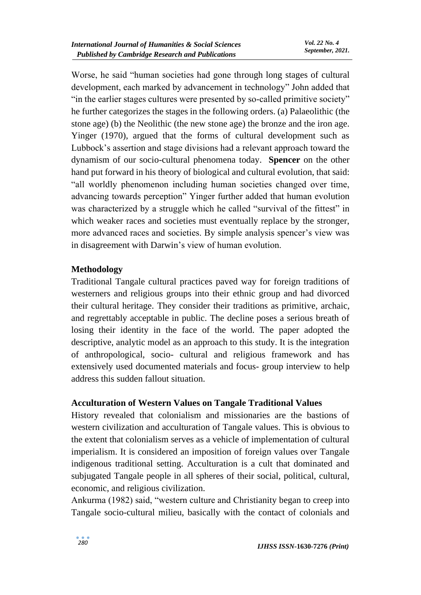Worse, he said "human societies had gone through long stages of cultural development, each marked by advancement in technology" John added that "in the earlier stages cultures were presented by so-called primitive society" he further categorizes the stages in the following orders. (a) Palaeolithic (the stone age) (b) the Neolithic (the new stone age) the bronze and the iron age. Yinger (1970), argued that the forms of cultural development such as Lubbock's assertion and stage divisions had a relevant approach toward the dynamism of our socio-cultural phenomena today. **Spencer** on the other hand put forward in his theory of biological and cultural evolution, that said: "all worldly phenomenon including human societies changed over time, advancing towards perception" Yinger further added that human evolution was characterized by a struggle which he called "survival of the fittest" in which weaker races and societies must eventually replace by the stronger, more advanced races and societies. By simple analysis spencer's view was in disagreement with Darwin's view of human evolution.

# **Methodology**

Traditional Tangale cultural practices paved way for foreign traditions of westerners and religious groups into their ethnic group and had divorced their cultural heritage. They consider their traditions as primitive, archaic, and regrettably acceptable in public. The decline poses a serious breath of losing their identity in the face of the world. The paper adopted the descriptive, analytic model as an approach to this study. It is the integration of anthropological, socio- cultural and religious framework and has extensively used documented materials and focus- group interview to help address this sudden fallout situation.

# **Acculturation of Western Values on Tangale Traditional Values**

History revealed that colonialism and missionaries are the bastions of western civilization and acculturation of Tangale values. This is obvious to the extent that colonialism serves as a vehicle of implementation of cultural imperialism. It is considered an imposition of foreign values over Tangale indigenous traditional setting. Acculturation is a cult that dominated and subjugated Tangale people in all spheres of their social, political, cultural, economic, and religious civilization.

Ankurma (1982) said, "western culture and Christianity began to creep into Tangale socio-cultural milieu, basically with the contact of colonials and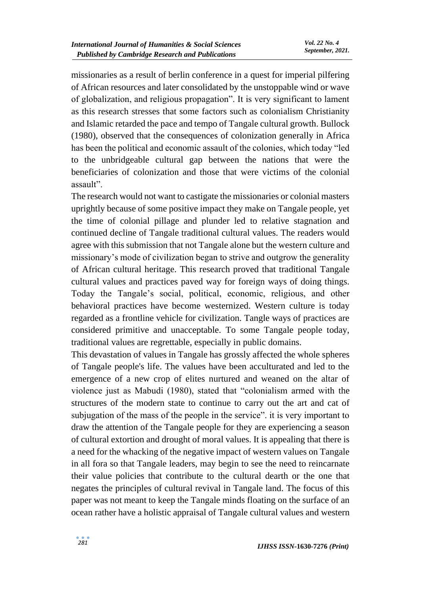missionaries as a result of berlin conference in a quest for imperial pilfering of African resources and later consolidated by the unstoppable wind or wave of globalization, and religious propagation". It is very significant to lament as this research stresses that some factors such as colonialism Christianity and Islamic retarded the pace and tempo of Tangale cultural growth. Bullock (1980), observed that the consequences of colonization generally in Africa has been the political and economic assault of the colonies, which today "led to the unbridgeable cultural gap between the nations that were the beneficiaries of colonization and those that were victims of the colonial assault".

The research would not want to castigate the missionaries or colonial masters uprightly because of some positive impact they make on Tangale people, yet the time of colonial pillage and plunder led to relative stagnation and continued decline of Tangale traditional cultural values. The readers would agree with this submission that not Tangale alone but the western culture and missionary's mode of civilization began to strive and outgrow the generality of African cultural heritage. This research proved that traditional Tangale cultural values and practices paved way for foreign ways of doing things. Today the Tangale's social, political, economic, religious, and other behavioral practices have become westernized. Western culture is today regarded as a frontline vehicle for civilization. Tangle ways of practices are considered primitive and unacceptable. To some Tangale people today, traditional values are regrettable, especially in public domains.

This devastation of values in Tangale has grossly affected the whole spheres of Tangale people's life. The values have been acculturated and led to the emergence of a new crop of elites nurtured and weaned on the altar of violence just as Mabudi (1980), stated that "colonialism armed with the structures of the modern state to continue to carry out the art and cat of subjugation of the mass of the people in the service". it is very important to draw the attention of the Tangale people for they are experiencing a season of cultural extortion and drought of moral values. It is appealing that there is a need for the whacking of the negative impact of western values on Tangale in all fora so that Tangale leaders, may begin to see the need to reincarnate their value policies that contribute to the cultural dearth or the one that negates the principles of cultural revival in Tangale land. The focus of this paper was not meant to keep the Tangale minds floating on the surface of an ocean rather have a holistic appraisal of Tangale cultural values and western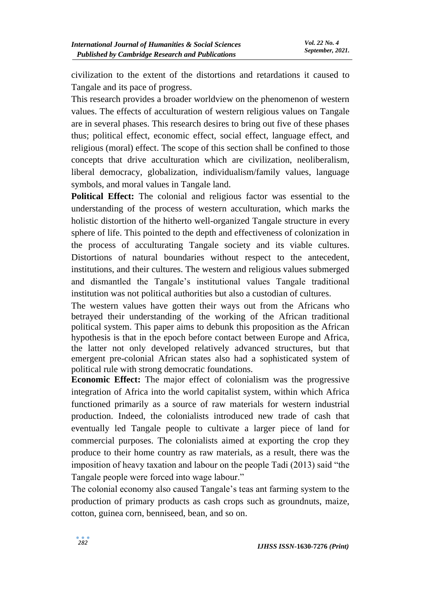civilization to the extent of the distortions and retardations it caused to Tangale and its pace of progress.

This research provides a broader worldview on the phenomenon of western values. The effects of acculturation of western religious values on Tangale are in several phases. This research desires to bring out five of these phases thus; political effect, economic effect, social effect, language effect, and religious (moral) effect. The scope of this section shall be confined to those concepts that drive acculturation which are civilization, neoliberalism, liberal democracy, globalization, individualism/family values, language symbols, and moral values in Tangale land.

**Political Effect:** The colonial and religious factor was essential to the understanding of the process of western acculturation, which marks the holistic distortion of the hitherto well-organized Tangale structure in every sphere of life. This pointed to the depth and effectiveness of colonization in the process of acculturating Tangale society and its viable cultures. Distortions of natural boundaries without respect to the antecedent, institutions, and their cultures. The western and religious values submerged and dismantled the Tangale's institutional values Tangale traditional institution was not political authorities but also a custodian of cultures.

The western values have gotten their ways out from the Africans who betrayed their understanding of the working of the African traditional political system. This paper aims to debunk this proposition as the African hypothesis is that in the epoch before contact between Europe and Africa, the latter not only developed relatively advanced structures, but that emergent pre-colonial African states also had a sophisticated system of political rule with strong democratic foundations.

**Economic Effect:** The major effect of colonialism was the progressive integration of Africa into the world capitalist system, within which Africa functioned primarily as a source of raw materials for western industrial production. Indeed, the colonialists introduced new trade of cash that eventually led Tangale people to cultivate a larger piece of land for commercial purposes. The colonialists aimed at exporting the crop they produce to their home country as raw materials, as a result, there was the imposition of heavy taxation and labour on the people Tadi (2013) said "the Tangale people were forced into wage labour."

The colonial economy also caused Tangale's teas ant farming system to the production of primary products as cash crops such as groundnuts, maize, cotton, guinea corn, benniseed, bean, and so on.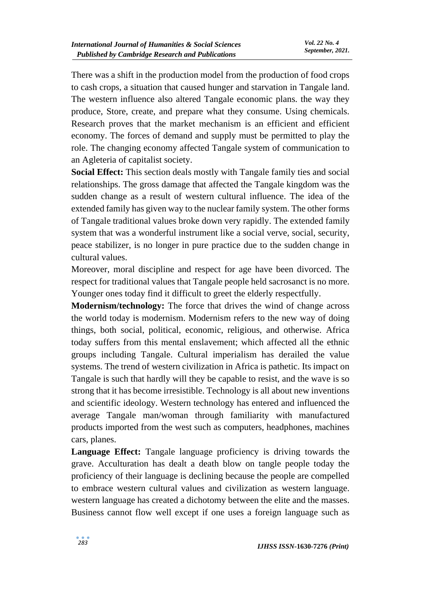There was a shift in the production model from the production of food crops to cash crops, a situation that caused hunger and starvation in Tangale land. The western influence also altered Tangale economic plans. the way they produce, Store, create, and prepare what they consume. Using chemicals. Research proves that the market mechanism is an efficient and efficient economy. The forces of demand and supply must be permitted to play the role. The changing economy affected Tangale system of communication to an Agleteria of capitalist society.

**Social Effect:** This section deals mostly with Tangale family ties and social relationships. The gross damage that affected the Tangale kingdom was the sudden change as a result of western cultural influence. The idea of the extended family has given way to the nuclear family system. The other forms of Tangale traditional values broke down very rapidly. The extended family system that was a wonderful instrument like a social verve, social, security, peace stabilizer, is no longer in pure practice due to the sudden change in cultural values.

Moreover, moral discipline and respect for age have been divorced. The respect for traditional values that Tangale people held sacrosanct is no more. Younger ones today find it difficult to greet the elderly respectfully.

**Modernism/technology:** The force that drives the wind of change across the world today is modernism. Modernism refers to the new way of doing things, both social, political, economic, religious, and otherwise. Africa today suffers from this mental enslavement; which affected all the ethnic groups including Tangale. Cultural imperialism has derailed the value systems. The trend of western civilization in Africa is pathetic. Its impact on Tangale is such that hardly will they be capable to resist, and the wave is so strong that it has become irresistible. Technology is all about new inventions and scientific ideology. Western technology has entered and influenced the average Tangale man/woman through familiarity with manufactured products imported from the west such as computers, headphones, machines cars, planes.

**Language Effect:** Tangale language proficiency is driving towards the grave. Acculturation has dealt a death blow on tangle people today the proficiency of their language is declining because the people are compelled to embrace western cultural values and civilization as western language. western language has created a dichotomy between the elite and the masses. Business cannot flow well except if one uses a foreign language such as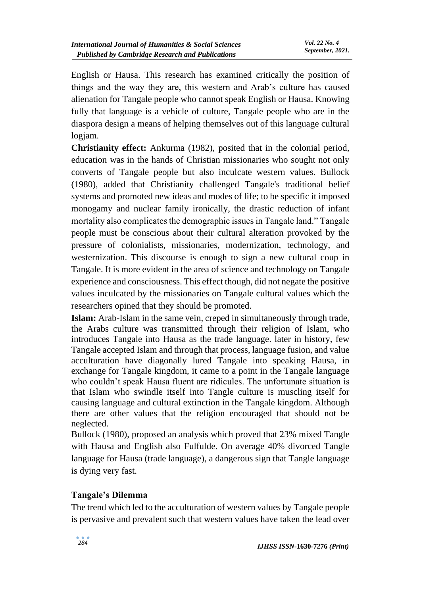English or Hausa. This research has examined critically the position of things and the way they are, this western and Arab's culture has caused alienation for Tangale people who cannot speak English or Hausa. Knowing fully that language is a vehicle of culture, Tangale people who are in the diaspora design a means of helping themselves out of this language cultural logjam.

**Christianity effect:** Ankurma (1982), posited that in the colonial period, education was in the hands of Christian missionaries who sought not only converts of Tangale people but also inculcate western values. Bullock (1980), added that Christianity challenged Tangale's traditional belief systems and promoted new ideas and modes of life; to be specific it imposed monogamy and nuclear family ironically, the drastic reduction of infant mortality also complicates the demographic issues in Tangale land." Tangale people must be conscious about their cultural alteration provoked by the pressure of colonialists, missionaries, modernization, technology, and westernization. This discourse is enough to sign a new cultural coup in Tangale. It is more evident in the area of science and technology on Tangale experience and consciousness. This effect though, did not negate the positive values inculcated by the missionaries on Tangale cultural values which the researchers opined that they should be promoted.

**Islam:** Arab-Islam in the same vein, creped in simultaneously through trade, the Arabs culture was transmitted through their religion of Islam, who introduces Tangale into Hausa as the trade language. later in history, few Tangale accepted Islam and through that process, language fusion, and value acculturation have diagonally lured Tangale into speaking Hausa, in exchange for Tangale kingdom, it came to a point in the Tangale language who couldn't speak Hausa fluent are ridicules. The unfortunate situation is that Islam who swindle itself into Tangle culture is muscling itself for causing language and cultural extinction in the Tangale kingdom. Although there are other values that the religion encouraged that should not be neglected.

Bullock (1980), proposed an analysis which proved that 23% mixed Tangle with Hausa and English also Fulfulde. On average 40% divorced Tangle language for Hausa (trade language), a dangerous sign that Tangle language is dying very fast.

# **Tangale's Dilemma**

The trend which led to the acculturation of western values by Tangale people is pervasive and prevalent such that western values have taken the lead over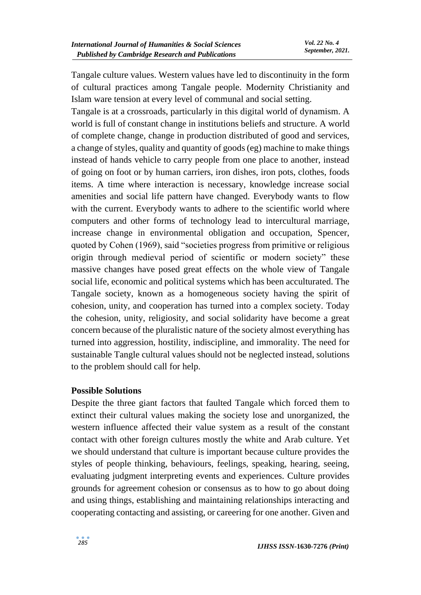Tangale culture values. Western values have led to discontinuity in the form of cultural practices among Tangale people. Modernity Christianity and Islam ware tension at every level of communal and social setting.

Tangale is at a crossroads, particularly in this digital world of dynamism. A world is full of constant change in institutions beliefs and structure. A world of complete change, change in production distributed of good and services, a change of styles, quality and quantity of goods (eg) machine to make things instead of hands vehicle to carry people from one place to another, instead of going on foot or by human carriers, iron dishes, iron pots, clothes, foods items. A time where interaction is necessary, knowledge increase social amenities and social life pattern have changed. Everybody wants to flow with the current. Everybody wants to adhere to the scientific world where computers and other forms of technology lead to intercultural marriage, increase change in environmental obligation and occupation, Spencer, quoted by Cohen (1969), said "societies progress from primitive or religious origin through medieval period of scientific or modern society" these massive changes have posed great effects on the whole view of Tangale social life, economic and political systems which has been acculturated. The Tangale society, known as a homogeneous society having the spirit of cohesion, unity, and cooperation has turned into a complex society. Today the cohesion, unity, religiosity, and social solidarity have become a great concern because of the pluralistic nature of the society almost everything has turned into aggression, hostility, indiscipline, and immorality. The need for sustainable Tangle cultural values should not be neglected instead, solutions to the problem should call for help.

#### **Possible Solutions**

Despite the three giant factors that faulted Tangale which forced them to extinct their cultural values making the society lose and unorganized, the western influence affected their value system as a result of the constant contact with other foreign cultures mostly the white and Arab culture. Yet we should understand that culture is important because culture provides the styles of people thinking, behaviours, feelings, speaking, hearing, seeing, evaluating judgment interpreting events and experiences. Culture provides grounds for agreement cohesion or consensus as to how to go about doing and using things, establishing and maintaining relationships interacting and cooperating contacting and assisting, or careering for one another. Given and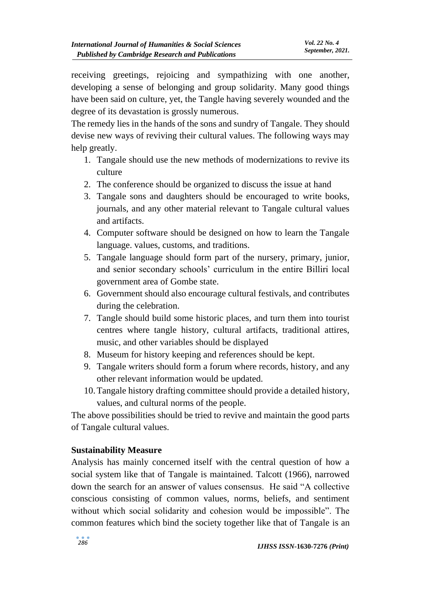receiving greetings, rejoicing and sympathizing with one another, developing a sense of belonging and group solidarity. Many good things have been said on culture, yet, the Tangle having severely wounded and the degree of its devastation is grossly numerous.

The remedy lies in the hands of the sons and sundry of Tangale. They should devise new ways of reviving their cultural values. The following ways may help greatly.

- 1. Tangale should use the new methods of modernizations to revive its culture
- 2. The conference should be organized to discuss the issue at hand
- 3. Tangale sons and daughters should be encouraged to write books, journals, and any other material relevant to Tangale cultural values and artifacts.
- 4. Computer software should be designed on how to learn the Tangale language. values, customs, and traditions.
- 5. Tangale language should form part of the nursery, primary, junior, and senior secondary schools' curriculum in the entire Billiri local government area of Gombe state.
- 6. Government should also encourage cultural festivals, and contributes during the celebration.
- 7. Tangle should build some historic places, and turn them into tourist centres where tangle history, cultural artifacts, traditional attires, music, and other variables should be displayed
- 8. Museum for history keeping and references should be kept.
- 9. Tangale writers should form a forum where records, history, and any other relevant information would be updated.
- 10.Tangale history drafting committee should provide a detailed history, values, and cultural norms of the people.

The above possibilities should be tried to revive and maintain the good parts of Tangale cultural values.

# **Sustainability Measure**

Analysis has mainly concerned itself with the central question of how a social system like that of Tangale is maintained. Talcott (1966), narrowed down the search for an answer of values consensus. He said "A collective conscious consisting of common values, norms, beliefs, and sentiment without which social solidarity and cohesion would be impossible". The common features which bind the society together like that of Tangale is an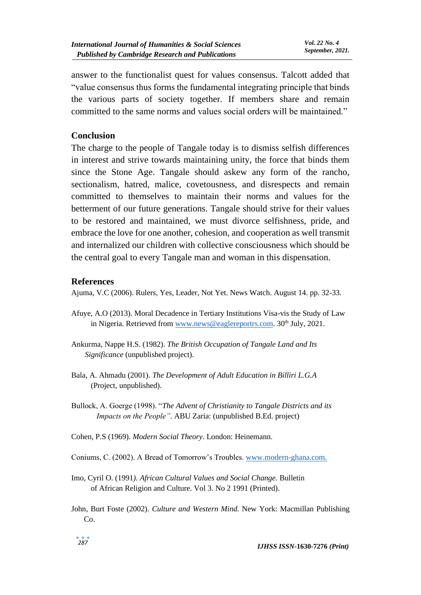answer to the functionalist quest for values consensus. Talcott added that "value consensus thus forms the fundamental integrating principle that binds the various parts of society together. If members share and remain committed to the same norms and values social orders will be maintained."

#### **Conclusion**

The charge to the people of Tangale today is to dismiss selfish differences in interest and strive towards maintaining unity, the force that binds them since the Stone Age. Tangale should askew any form of the rancho, sectionalism, hatred, malice, covetousness, and disrespects and remain committed to themselves to maintain their norms and values for the betterment of our future generations. Tangale should strive for their values to be restored and maintained, we must divorce selfishness, pride, and embrace the love for one another, cohesion, and cooperation as well transmit and internalized our children with collective consciousness which should be the central goal to every Tangale man and woman in this dispensation.

#### **References**

Ajuma, V.C (2006). Rulers, Yes, Leader, Not Yet. News Watch. August 14. pp. 32-33.

- Afuye, A.O (2013). Moral Decadence in Tertiary Institutions Visa-vis the Study of Law in Nigeria. Retrieved from [www.news@eaglereportrs.com.](http://www.news@eaglereportrs.com)  $30<sup>th</sup>$  July, 2021.
- Ankurma, Nappe H.S. (1982). *The British Occupation of Tangale Land and Its Significance* (unpublished project).
- Bala, A. Ahmadu (2001). *The Development of Adult Education in Billiri L.G.A* (Project, unpublished).
- Bullock, A. Goerge (1998). "*The Advent of Christianity to Tangale Districts and its Impacts on the People"*. ABU Zaria: (unpublished B.Ed. project)
- Cohen, P.S (1969). *Modern Social Theory*. London: Heinemann.
- Coniums, C. (2002). A Bread of Tomorrow's Troubles. [www.modern-ghana.com.](http://www.modern-ghana.com/)
- Imo, Cyril O. (1991*). African Cultural Values and Social Change.* Bulletin of African Religion and Culture. Vol 3. No 2 1991 (Printed).
- John, Burt Foste (2002). *Culture and Western Mind.* New York: Macmillan Publishing Co.